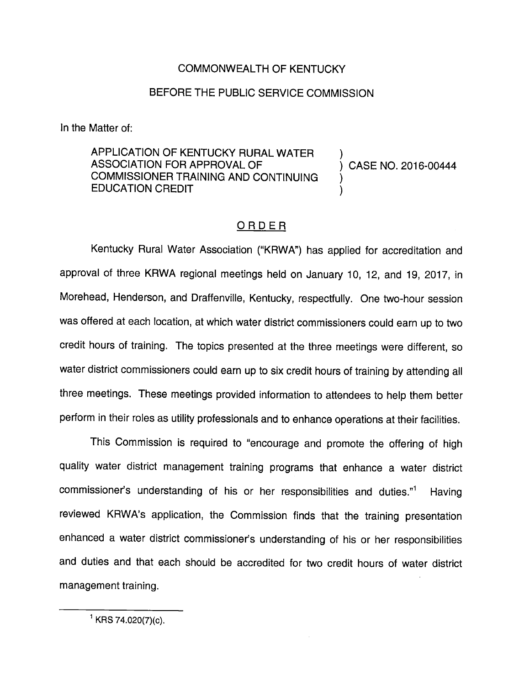## COMMONWEALTH OF KENTUCKY

## BEFORE THE PUBLIC SERVICE COMMISSION

In the Matter of:

APPLICATION OF KENTUCKY RURAL WATER ASSOCIATION FOR APPROVAL OF (2016-00444) COMMISSIONER TRAINING AND CONTINUING ) EDUCATION CREDIT )

## ORDER

Kentucky Rural Water Association ("KRWA") has applied for accreditation and approval of three KRWA regional meetings held on January 10, 12, and 19, 2017, in Morehead, Henderson, and Draffenville, Kentucky, respectfully. One two-hour session was offered at each location, at which water district commissioners couid earn up to two credit hours of training. The topics presented at the three meetings were different, so water district commissioners could earn up to six credit hours of training by attending all three meetings. These meetings provided information to attendees to help them better perform in their roles as utility professionals and to enhance operations at their facilities.

This Commission is required to "encourage and promote the offering of high quality water district management training programs that enhance a water district commissioner's understanding of his or her responsibilities and duties."<sup>1</sup> Having reviewed KRWA's application, the Commission finds that the training presentation enhanced a water district commissioner's understanding of his or her responsibilities and duties and that each should be accredited for two credit hours of water district management training.

 $^1$  KRS 74.020(7)(c).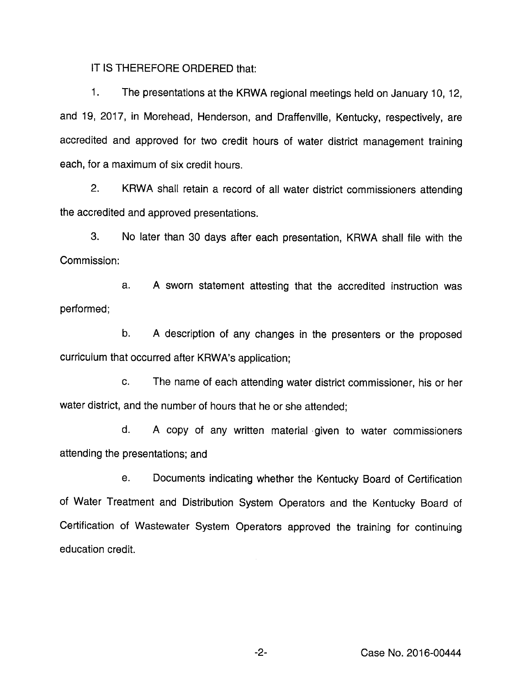IT IS THEREFORE ORDERED that:

1. The presentations at the KRWA regional meetings held on January 10, 12, and 19, 2017, in Morehead, Henderson, and Draffenville, Kentucky, respectively, are accredited and approved for two credit hours of water district management training each, for a maximum of six credit hours.

2. KRWA shall retain a record of aii water district commissioners attending the accredited and approved presentations.

3. No later than 30 days after each presentation, KRWA shall file with the Commission:

a. A sworn statement attesting that the accredited instruction was performed;

b. A description of any changes in the presenters or the proposed curriculum that occurred after KRWA's application;

c. The name of each attending water district commissioner, his or her water district, and the number of hours that he or she attended;

d. A copy of any written material given to water commissioners attending the presentations; and

e. Documents indicating whether the Kentucky Board of Certification of Water Treatment and Distribution System Operators and the Kentucky Board of Certification of Wastewater System Operators approved the training for continuing education credit.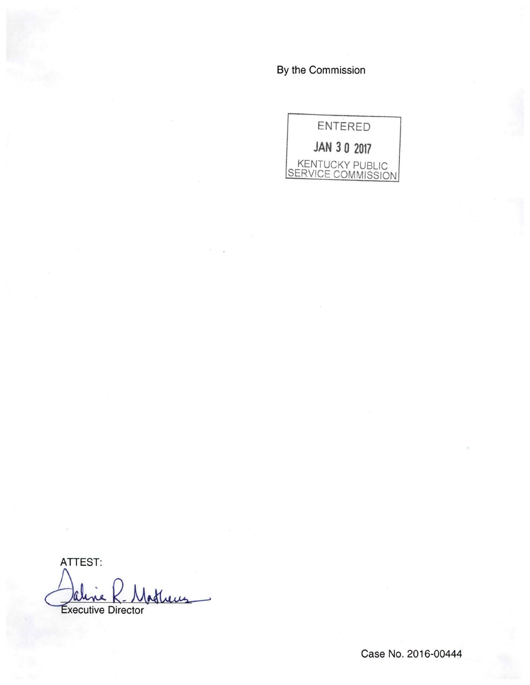By the Commission



ATTEST: Atheres Executive Director

Case No. 2016-00444